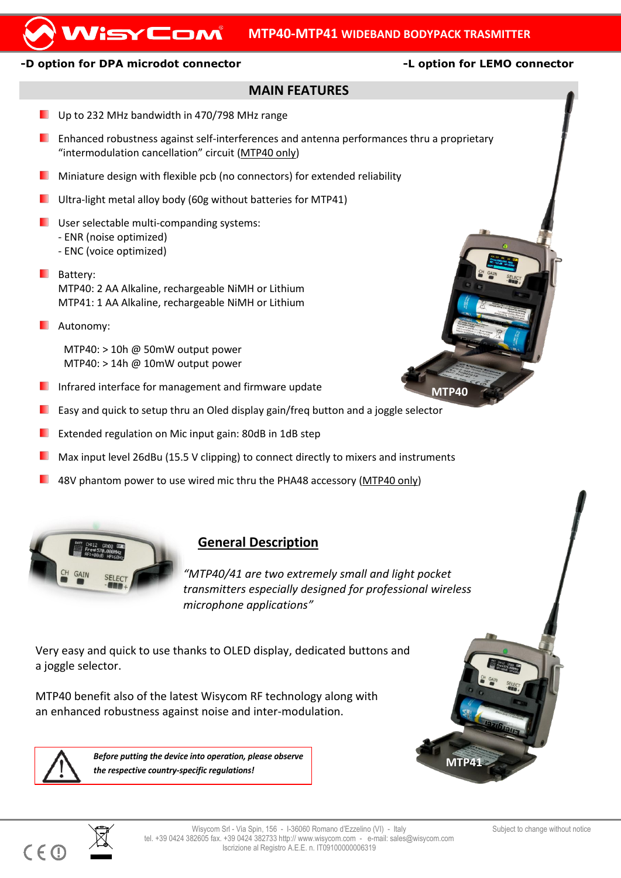## **MTP40-MTP41 WIDEBAND BODYPACK TRASMITTER**

#### **-D option for DPA microdot connector -L option for LEMO connector**

WisyCom

#### **MAIN FEATURES**

- Up to 232 MHz bandwidth in 470/798 MHz range
- **E** Enhanced robustness against self-interferences and antenna performances thru a proprietary "intermodulation cancellation" circuit (MTP40 only)
- ٠ Miniature design with flexible pcb (no connectors) for extended reliability
- **Ultra-light metal alloy body (60g without batteries for MTP41)**
- **USER** User selectable multi-companding systems:
	- ENR (noise optimized)
	- ENC (voice optimized)
- **Battery:** MTP40: 2 AA Alkaline, rechargeable NiMH or Lithium MTP41: 1 AA Alkaline, rechargeable NiMH or Lithium
- **L** Autonomy:

MTP40: > 10h @ 50mW output power MTP40: > 14h @ 10mW output power

- **I** Infrared interface for management and firmware update
- Easy and quick to setup thru an Oled display gain/freq button and a joggle selector
- Extended regulation on Mic input gain: 80dB in 1dB step
- Max input level 26dBu (15.5 V clipping) to connect directly to mixers and instruments
- 48V phantom power to use wired mic thru the PHA48 accessory (MTP40 only)



# **General Description**

*"MTP40/41 are two extremely small and light pocket transmitters especially designed for professional wireless microphone applications"*

Very easy and quick to use thanks to OLED display, dedicated buttons and a joggle selector.

MTP40 benefit also of the latest Wisycom RF technology along with an enhanced robustness against noise and inter-modulation.



 $\overline{a}$ 

 $C \in \mathbb{C}$ 

*Before putting the device into operation, please observe the respective country-specific regulations!*



**MTP40**